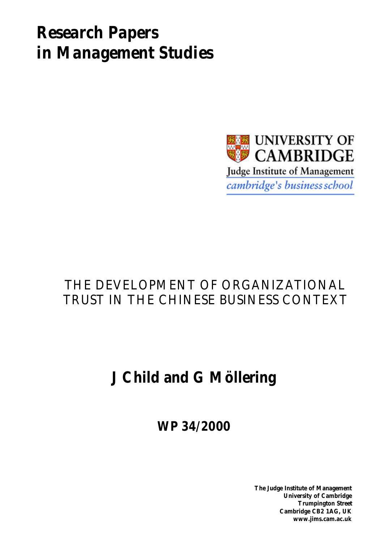# *Research Papers in Management Studies*



## THE DEVELOPMENT OF ORGANIZATIONAL TRUST IN THE CHINESE BUSINESS CONTEXT

## **J Child and G Möllering**

**WP 34/2000**

**The Judge Institute of Management University of Cambridge Trumpington Street Cambridge CB2 1AG, UK www.jims.cam.ac.uk**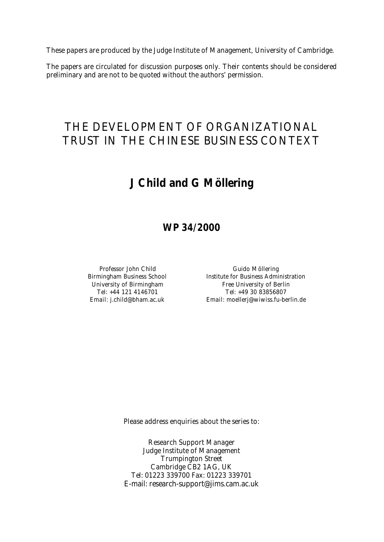These papers are produced by the Judge Institute of Management, University of Cambridge.

The papers are circulated for discussion purposes only. Their contents should be considered preliminary and are not to be quoted without the authors' permission.

## THE DEVELOPMENT OF ORGANIZATIONAL TRUST IN THE CHINESE BUSINESS CONTEXT

## **J Child and G Möllering**

## **WP 34/2000**

Professor John Child Guido Möllering Birmingham Business School Institute for Business Administration University of Birmingham The Ree University of Berlin Tel: +44 121 4146701 Tel: +49 30 83856807 Email: j.child@bham.ac.uk Email: moellerj@wiwiss.fu-berlin.de

Please address enquiries about the series to:

Research Support Manager Judge Institute of Management Trumpington Street Cambridge CB2 1AG, UK Tel: 01223 339700 Fax: 01223 339701 E-mail: research-support@jims.cam.ac.uk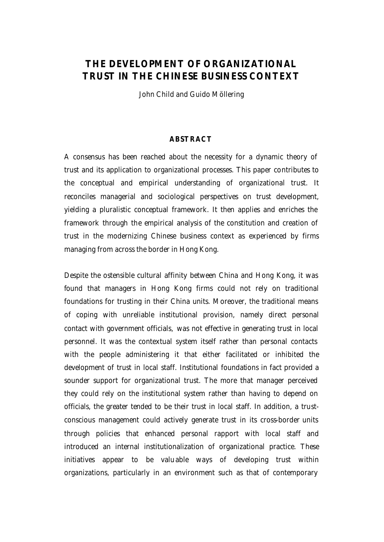## **THE DEVELOPMENT OF ORGANIZATIONAL TRUST IN THE CHINESE BUSINESS CONTEXT**

John Child and Guido Möllering

#### **ABSTRACT**

A consensus has been reached about the necessity for a dynamic theory of trust and its application to organizational processes. This paper contributes to the conceptual and empirical understanding of organizational trust. It reconciles managerial and sociological perspectives on trust development, yielding a pluralistic conceptual framework. It then applies and enriches the framework through the empirical analysis of the constitution and creation of trust in the modernizing Chinese business context as experienced by firms managing from across the border in Hong Kong.

Despite the ostensible cultural affinity between China and Hong Kong, it was found that managers in Hong Kong firms could not rely on traditional foundations for trusting in their China units. Moreover, the traditional means of coping with unreliable institutional provision, namely direct personal contact with government officials, was not effective in generating trust in local personnel. It was the contextual system itself rather than personal contacts with the people administering it that either facilitated or inhibited the development of trust in local staff. Institutional foundations in fact provided a sounder support for organizational trust. The more that manager perceived they could rely on the institutional system rather than having to depend on officials, the greater tended to be their trust in local staff. In addition, a trustconscious management could actively generate trust in its cross-border units through policies that enhanced personal rapport with local staff and introduced an internal institutionalization of organizational practice. These initiatives appear to be valuable ways of developing trust within organizations, particularly in an environment such as that of contemporary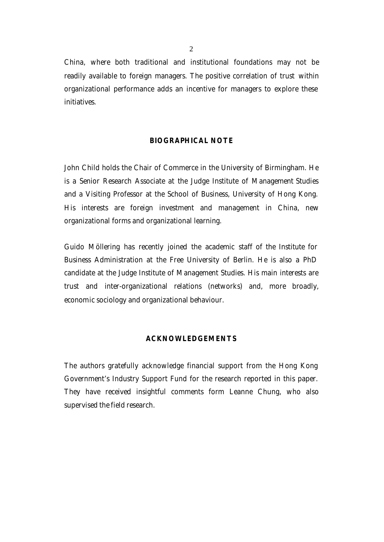China, where both traditional and institutional foundations may not be readily available to foreign managers. The positive correlation of trust within organizational performance adds an incentive for managers to explore these initiatives.

#### **BIOGRAPHICAL NOTE**

John Child holds the Chair of Commerce in the University of Birmingham. He is a Senior Research Associate at the Judge Institute of Management Studies and a Visiting Professor at the School of Business, University of Hong Kong. His interests are foreign investment and management in China, new organizational forms and organizational learning.

Guido Möllering has recently joined the academic staff of the Institute for Business Administration at the Free University of Berlin. He is also a PhD candidate at the Judge Institute of Management Studies. His main interests are trust and inter-organizational relations (networks) and, more broadly, economic sociology and organizational behaviour.

#### **ACKNOWLEDGEMENTS**

The authors gratefully acknowledge financial support from the Hong Kong Government's Industry Support Fund for the research reported in this paper. They have received insightful comments form Leanne Chung, who also supervised the field research.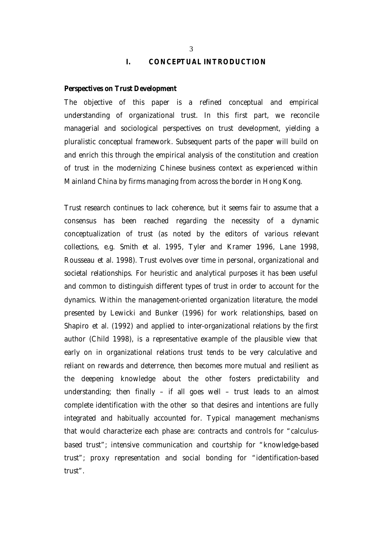#### **I. CONCEPTUAL INTRODUCTION**

#### *Perspectives on Trust Development*

The objective of this paper is a refined conceptual and empirical understanding of organizational trust. In this first part, we reconcile managerial and sociological perspectives on trust development, yielding a pluralistic conceptual framework. Subsequent parts of the paper will build on and enrich this through the empirical analysis of the constitution and creation of trust in the modernizing Chinese business context as experienced within Mainland China by firms managing from across the border in Hong Kong.

Trust research continues to lack coherence, but it seems fair to assume that a consensus has been reached regarding the necessity of a dynamic conceptualization of trust (as noted by the editors of various relevant collections, e.g. Smith *et al.* 1995, Tyler and Kramer 1996, Lane 1998, Rousseau *et al*. 1998). Trust evolves over time in personal, organizational and societal relationships. For heuristic and analytical purposes it has been useful and common to distinguish different types of trust in order to account for the dynamics. Within the management-oriented organization literature, the model presented by Lewicki and Bunker (1996) for work relationships, based on Shapiro *et al.* (1992) and applied to inter-organizational relations by the first author (Child 1998), is a representative example of the plausible view that early on in organizational relations trust tends to be very calculative and reliant on rewards and deterrence, then becomes more mutual and resilient as the deepening knowledge about the other fosters predictability and understanding; then finally – if all goes well – trust leads to an almost complete identification with the other so that desires and intentions are fully integrated and habitually accounted for. Typical management mechanisms that would characterize each phase are: contracts and controls for "calculusbased trust"; intensive communication and courtship for "knowledge-based trust"; proxy representation and social bonding for "identification-based trust".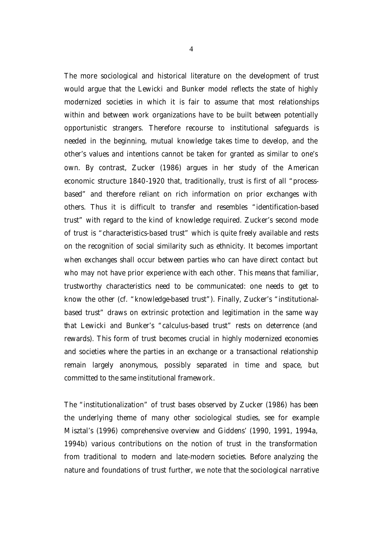The more sociological and historical literature on the development of trust would argue that the Lewicki and Bunker model reflects the state of highly modernized societies in which it is fair to assume that most relationships within and between work organizations have to be built between potentially opportunistic strangers. Therefore recourse to institutional safeguards is needed in the beginning, mutual knowledge takes time to develop, and the other's values and intentions cannot be taken for granted as similar to one's own. By contrast, Zucker (1986) argues in her study of the American economic structure 1840-1920 that, traditionally, trust is first of all "processbased" and therefore reliant on rich information on prior exchanges with others. Thus it is difficult to transfer and resembles "identification-based trust" with regard to the kind of knowledge required. Zucker's second mode of trust is "characteristics-based trust" which is quite freely available and rests on the recognition of social similarity such as ethnicity. It becomes important when exchanges shall occur between parties who can have direct contact but who may not have prior experience with each other. This means that familiar, trustworthy characteristics need to be communicated: one needs to get to know the other (cf. "knowledge-based trust"). Finally, Zucker's "institutionalbased trust" draws on extrinsic protection and legitimation in the same way that Lewicki and Bunker's "calculus-based trust" rests on deterrence (and rewards). This form of trust becomes crucial in highly modernized economies and societies where the parties in an exchange or a transactional relationship remain largely anonymous, possibly separated in time and space, but committed to the same institutional framework.

The "institutionalization" of trust bases observed by Zucker (1986) has been the underlying theme of many other sociological studies, see for example Misztal's (1996) comprehensive overview and Giddens' (1990, 1991, 1994a, 1994b) various contributions on the notion of trust in the transformation from traditional to modern and late-modern societies. Before analyzing the nature and foundations of trust further, we note that the sociological narrative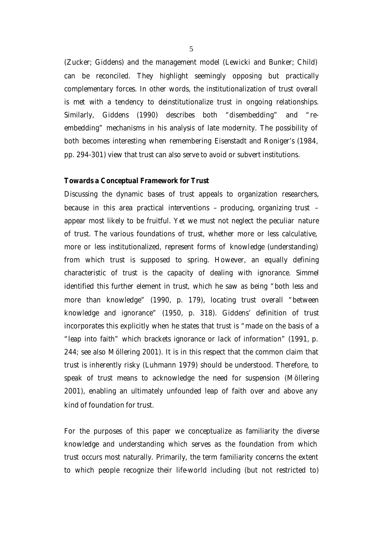(Zucker; Giddens) and the management model (Lewicki and Bunker; Child) can be reconciled. They highlight seemingly opposing but practically complementary forces. In other words, the institutionalization of trust overall is met with a tendency to deinstitutionalize trust in ongoing relationships. Similarly, Giddens (1990) describes both "*dis*embedding" and "*re*embedding" mechanisms in his analysis of late modernity. The possibility of both becomes interesting when remembering Eisenstadt and Roniger's (1984, pp. 294-301) view that trust can also serve to avoid or subvert institutions.

#### *Towards a Conceptual Framework for Trust*

Discussing the dynamic bases of trust appeals to organization researchers, because in this area practical interventions – producing, organizing trust – appear most likely to be fruitful. Yet we must not neglect the peculiar *nature* of trust. The various foundations of trust, whether more or less calculative, more or less institutionalized, represent forms of *knowledge* (understanding) from which trust is supposed to spring. However, an equally defining characteristic of trust is the capacity of dealing with *ignorance*. Simmel identified this further element in trust, which he saw as being "both less and more than knowledge" (1990, p. 179), locating trust overall "between knowledge and ignorance" (1950, p. 318). Giddens' definition of trust incorporates this explicitly when he states that trust is "made on the basis of a "leap into faith" which brackets ignorance or lack of information" (1991, p. 244; see also Möllering 2001). It is in this respect that the common claim that trust is inherently risky (Luhmann 1979) should be understood. Therefore, to speak of trust means to acknowledge the need for *suspension* (Möllering 2001), enabling an ultimately unfounded leap of faith over and above any kind of foundation for trust.

For the purposes of this paper we conceptualize as *familiarity* the diverse knowledge and understanding which serves as the foundation from which trust occurs most naturally. Primarily, the term familiarity concerns the extent to which people recognize their life-world including (but not restricted to)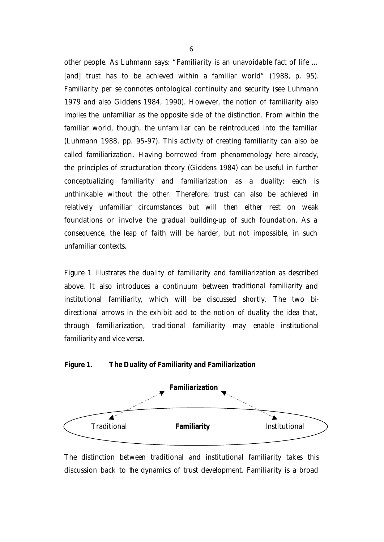other people. As Luhmann says: "Familiarity is an unavoidable fact of life … [and] trust has to be achieved within a familiar world" (1988, p. 95). Familiarity *per se* connotes ontological continuity and security (see Luhmann 1979 and also Giddens 1984, 1990). However, the notion of familiarity also implies the *unfamiliar* as the opposite side of the distinction. From within the familiar world, though, the unfamiliar can be reintroduced into the familiar (Luhmann 1988, pp. 95-97). This activity of creating familiarity can also be called *familiarization*. Having borrowed from phenomenology here already, the principles of structuration theory (Giddens 1984) can be useful in further conceptualizing familiarity and familiarization as a duality: each is unthinkable without the other. Therefore, trust can also be achieved in relatively unfamiliar circumstances but will then either rest on weak foundations or involve the gradual building-up of such foundation. As a consequence, the leap of faith will be harder, but not impossible, in such unfamiliar contexts.

Figure 1 illustrates the duality of familiarity and familiarization as described above. It also introduces a continuum between *traditional familiarity* and *institutional familiarity*, which will be discussed shortly. The two bidirectional arrows in the exhibit add to the notion of duality the idea that, through familiarization, traditional familiarity may enable institutional familiarity and vice versa.

#### **Figure 1. The Duality of Familiarity and Familiarization**



The distinction between traditional and institutional familiarity takes this discussion back to the dynamics of trust development. Familiarity is a broad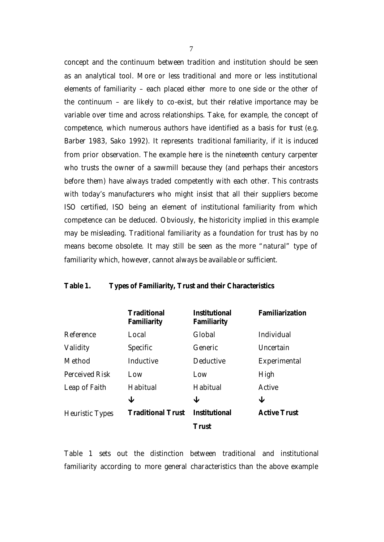concept and the continuum between tradition and institution should be seen as an analytical tool. More or less traditional and more or less institutional elements of familiarity – each placed either more to one side or the other of the continuum – are likely to co-exist, but their relative importance may be variable over time and across relationships. Take, for example, the concept of *competence*, which numerous authors have identified as a basis for trust (e.g. Barber 1983, Sako 1992). It represents *traditional* familiarity, if it is induced from prior observation. The example here is the nineteenth century carpenter who trusts the owner of a sawmill because they (and perhaps their ancestors before them) have always traded competently with each other. This contrasts with today's manufacturers who might insist that all their suppliers become ISO certified, ISO being an element of *institutional* familiarity from which competence can be deduced. Obviously, the historicity implied in this example may be misleading. Traditional familiarity as a foundation for trust has by no means become obsolete. It may still be seen as the more "natural" type of familiarity which, however, cannot always be available or sufficient.

#### **Table 1. Types of Familiarity, Trust and their Characteristics**

|                        | <b>Traditional</b><br>Familiarity | <b>Institutional</b><br>Familiarity | Familiarization     |
|------------------------|-----------------------------------|-------------------------------------|---------------------|
| Reference              | Local                             | Global                              | Individual          |
| Validity               | Specific                          | Generic                             | Uncertain           |
| Method                 | Inductive                         | Deductive                           | Experimental        |
| Perceived Risk         | l ow                              | Low                                 | High                |
| Leap of Faith          | Habitual                          | Habitual                            | Active              |
|                        | ↓                                 | ↓                                   | ↓                   |
| <b>Heuristic Types</b> | <b>Traditional Trust</b>          | <b>Institutional</b>                | <b>Active Trust</b> |
|                        |                                   | <b>Trust</b>                        |                     |

Table 1 sets out the distinction between traditional and institutional familiarity according to more general characteristics than the above example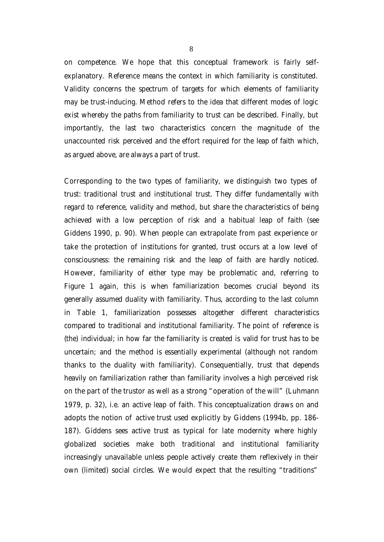on competence. We hope that this conceptual framework is fairly selfexplanatory. *Reference* means the context in which familiarity is constituted. *Validity* concerns the spectrum of targets for which elements of familiarity may be trust-inducing. *Method* refers to the idea that different modes of logic exist whereby the paths from familiarity to trust can be described. Finally, but importantly, the last two characteristics concern the magnitude of the unaccounted *risk perceived* and the effort required for the *leap of faith* which, as argued above, are always a part of trust.

Corresponding to the two types of familiarity, we distinguish two types of trust: traditional trust and institutional trust. They differ fundamentally with regard to reference, validity and method, but share the characteristics of being achieved with a low perception of risk and a habitual leap of faith (see Giddens 1990, p. 90). When people can extrapolate from past experience or take the protection of institutions for granted, trust occurs at a low level of consciousness: the remaining risk and the leap of faith are hardly noticed. However, familiarity of either type may be problematic and, referring to Figure 1 again, this is when *familiarization* becomes crucial beyond its generally assumed duality with familiarity. Thus, according to the last column in Table 1, familiarization possesses altogether different characteristics compared to traditional and institutional familiarity. The point of *reference* is (the) individual; in how far the familiarity is created is *valid* for trust has to be uncertain; and the *method* is essentially experimental (although not random thanks to the duality with familiarity). Consequentially, trust that depends heavily on familiarization rather than familiarity involves a high perceived risk on the part of the trustor as well as a strong "operation of the will" (Luhmann 1979, p. 32), i.e. an active leap of faith. This conceptualization draws on and adopts the notion of *active trust* used explicitly by Giddens (1994b, pp. 186- 187). Giddens sees active trust as typical for late modernity where highly globalized societies make both traditional and institutional familiarity increasingly unavailable unless people actively create them reflexively in their own (limited) social circles. We would expect that the resulting "traditions"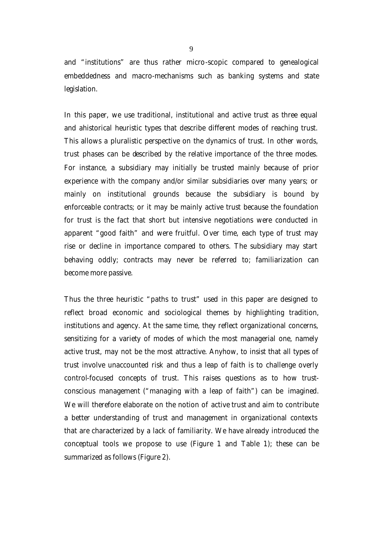and "institutions" are thus rather micro-scopic compared to genealogical embeddedness and macro-mechanisms such as banking systems and state legislation.

In this paper, we use traditional, institutional and active trust as three equal and ahistorical heuristic types that describe different modes of reaching trust. This allows a pluralistic perspective on the dynamics of trust. In other words, trust phases can be described by the relative importance of the three modes. For instance, a subsidiary may initially be trusted mainly because of prior experience with the company and/or similar subsidiaries over many years; or mainly on institutional grounds because the subsidiary is bound by enforceable contracts; or it may be mainly active trust because the foundation for trust is the fact that short but intensive negotiations were conducted in apparent "good faith" and were fruitful. Over time, each type of trust may rise or decline in importance compared to others. The subsidiary may start behaving oddly; contracts may never be referred to; familiarization can become more passive.

Thus the three heuristic "paths to trust" used in this paper are designed to reflect broad economic and sociological themes by highlighting tradition, institutions and agency. At the same time, they reflect organizational concerns, sensitizing for a variety of modes of which the most managerial one, namely active trust, may not be the most attractive. Anyhow, to insist that all types of trust involve unaccounted risk and thus a leap of faith is to challenge overly control-focused concepts of trust. This raises questions as to how *trustconscious management* ("managing with a leap of faith") can be imagined. We will therefore elaborate on the notion of *active trust* and aim to contribute a better understanding of trust and management in organizational contexts that are characterized by a lack of familiarity. We have already introduced the conceptual tools we propose to use (Figure 1 and Table 1); these can be summarized as follows (Figure 2).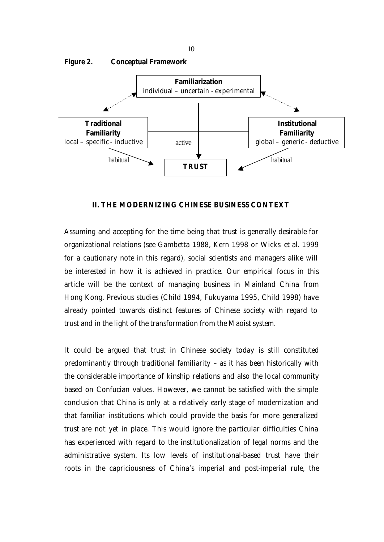

**II. THE MODERNIZING CHINESE BUSINESS CONTEXT**

Assuming and accepting for the time being that trust is generally desirable for organizational relations (see Gambetta 1988, Kern 1998 or Wicks *et al.* 1999 for a cautionary note in this regard), social scientists and managers alike will be interested in how it is achieved in practice. Our empirical focus in this article will be the context of managing business in Mainland China from Hong Kong. Previous studies (Child 1994, Fukuyama 1995, Child 1998) have already pointed towards distinct features of Chinese society with regard to trust and in the light of the transformation from the Maoist system.

It could be argued that trust in Chinese society today is still constituted predominantly through traditional familiarity – as it has been historically with the considerable importance of kinship relations and also the local community based on Confucian values. However, we cannot be satisfied with the simple conclusion that China is only at a relatively early stage of modernization and that familiar institutions which could provide the basis for more generalized trust are *not yet* in place. This would ignore the particular difficulties China has experienced with regard to the institutionalization of legal norms and the administrative system. Its low levels of institutional-based trust have their roots in the capriciousness of China's imperial and post-imperial rule, the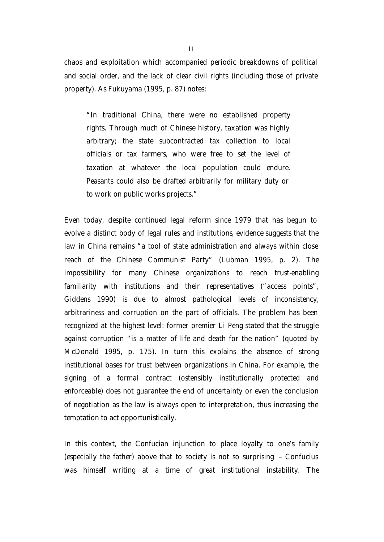chaos and exploitation which accompanied periodic breakdowns of political and social order, and the lack of clear civil rights (including those of private property). As Fukuyama (1995, p. 87) notes:

"In traditional China, there were no established property rights. Through much of Chinese history, taxation was highly arbitrary; the state subcontracted tax collection to local officials or tax farmers, who were free to set the level of taxation at whatever the local population could endure. Peasants could also be drafted arbitrarily for military duty or to work on public works projects."

Even today, despite continued legal reform since 1979 that has begun to evolve a distinct body of legal rules and institutions, evidence suggests that the law in China remains "a tool of state administration and always within close reach of the Chinese Communist Party" (Lubman 1995, p. 2). The impossibility for many Chinese organizations to reach trust-enabling familiarity with institutions and their representatives ("access points", Giddens 1990) is due to almost pathological levels of inconsistency, arbitrariness and corruption on the part of officials. The problem has been recognized at the highest level: former premier Li Peng stated that the struggle against corruption "is a matter of life and death for the nation" (quoted by McDonald 1995, p. 175). In turn this explains the absence of strong institutional bases for trust *between organizations* in China. For example, the signing of a formal contract (ostensibly institutionally protected and enforceable) does not guarantee the end of uncertainty or even the conclusion of negotiation as the law is always open to interpretation, thus increasing the temptation to act opportunistically.

In this context, the Confucian injunction to place loyalty to one's family (especially the father) above that to society is not so surprising – Confucius was himself writing at a time of great institutional instability. The

11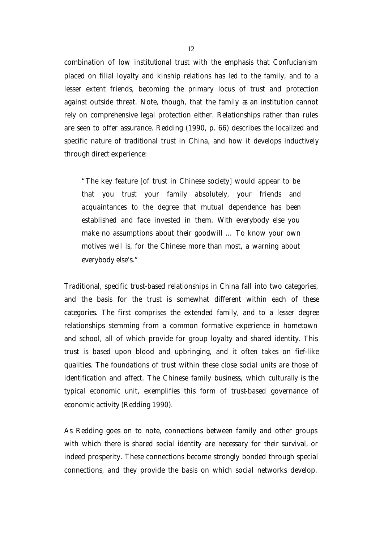combination of low institutional trust with the emphasis that Confucianism placed on filial loyalty and kinship relations has led to the family, and to a lesser extent friends, becoming the primary locus of trust and protection against outside threat. Note, though, that the family as an institution cannot rely on comprehensive legal protection either. Relationships rather than rules are seen to offer assurance. Redding (1990, p. 66) describes the localized and specific nature of traditional trust in China, and how it develops inductively through direct experience:

"The key feature [of trust in Chinese society] would appear to be that you trust your family absolutely, your friends and acquaintances to the degree that mutual dependence has been established and face invested in them. With everybody else you make no assumptions about their goodwill … To know your own motives well is, for the Chinese more than most, a warning about everybody else's."

Traditional, specific trust-based relationships in China fall into two categories, and the basis for the trust is somewhat different within each of these categories. The first comprises the extended family, and to a lesser degree relationships stemming from a common formative experience in hometown and school, all of which provide for group loyalty and shared identity. This trust is based upon blood and upbringing, and it often takes on fief-like qualities. The foundations of trust within these close social units are those of identification and affect. The Chinese family business, which culturally is the typical economic unit, exemplifies this form of trust-based governance of economic activity (Redding 1990).

As Redding goes on to note, connections between family and other groups with which there is shared social identity are necessary for their survival, or indeed prosperity. These connections become strongly bonded through special connections, and they provide the basis on which social networks develop.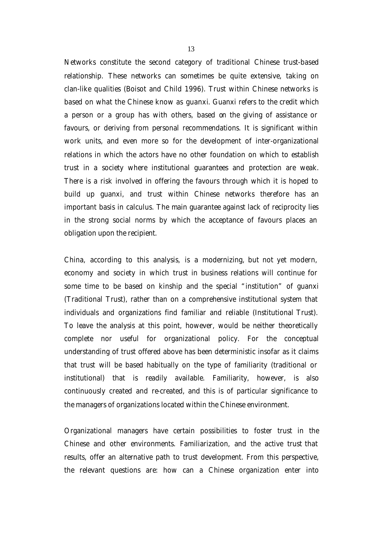Networks constitute the second category of traditional Chinese trust-based relationship. These networks can sometimes be quite extensive, taking on clan-like qualities (Boisot and Child 1996). Trust within Chinese networks is based on what the Chinese know as *guanxi*. Guanxi refers to the credit which a person or a group has with others, based on the giving of assistance or favours, or deriving from personal recommendations. It is significant within work units, and even more so for the development of inter-organizational relations in which the actors have no other foundation on which to establish trust in a society where institutional guarantees and protection are weak. There is a risk involved in offering the favours through which it is hoped to build up guanxi, and trust within Chinese networks therefore has an important basis in calculus. The main guarantee against lack of reciprocity lies in the strong social norms by which the acceptance of favours places an obligation upon the recipient.

China, according to this analysis, is a *modernizing*, but not yet modern, economy and society in which trust in business relations will continue for some time to be based on kinship and the special "institution" of guanxi (Traditional Trust), rather than on a comprehensive institutional system that individuals and organizations find familiar and reliable (Institutional Trust). To leave the analysis at this point, however, would be neither theoretically complete nor useful for organizational policy. For the conceptual understanding of trust offered above has been deterministic insofar as it claims that trust will be based habitually on the type of familiarity (traditional or institutional) that is readily available. Familiarity, however, is also continuously created and re-created, and this is of particular significance to the managers of organizations located within the Chinese environment.

Organizational managers have certain possibilities to foster trust in the Chinese and other environments. Familiarization, and the *active trust* that results, offer an alternative path to trust development. From this perspective, the relevant questions are: how can a Chinese organization enter into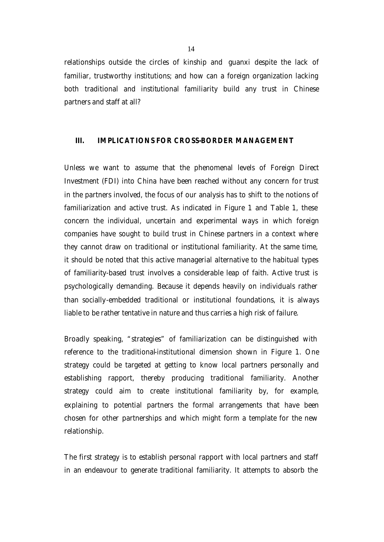relationships outside the circles of kinship and *guanxi* despite the lack of familiar, trustworthy institutions; and how can a foreign organization lacking *both* traditional and institutional familiarity build any trust in Chinese partners and staff at all?

#### **III. IMPLICATIONS FOR CROSS-BORDER MANAGEMENT**

Unless we want to assume that the phenomenal levels of Foreign Direct Investment (FDI) into China have been reached without any concern for trust in the partners involved, the focus of our analysis has to shift to the notions of familiarization and active trust. As indicated in Figure 1 and Table 1, these concern the individual, uncertain and experimental ways in which foreign companies have sought to build trust in Chinese partners in a context where they cannot draw on traditional or institutional familiarity. At the same time, it should be noted that this active managerial alternative to the habitual types of familiarity-based trust involves a considerable leap of faith. Active trust is psychologically demanding. Because it depends heavily on individuals rather than socially-embedded traditional or institutional foundations, it is always liable to be rather tentative in nature and thus carries a high risk of failure.

Broadly speaking, "strategies" of familiarization can be distinguished with reference to the traditional-institutional dimension shown in Figure 1. One strategy could be targeted at getting to know local partners personally and establishing rapport, thereby producing traditional familiarity. Another strategy could aim to create institutional familiarity by, for example, explaining to potential partners the formal arrangements that have been chosen for other partnerships and which might form a template for the new relationship.

The first strategy is to establish personal rapport with local partners and staff in an endeavour to generate traditional familiarity. It attempts to absorb the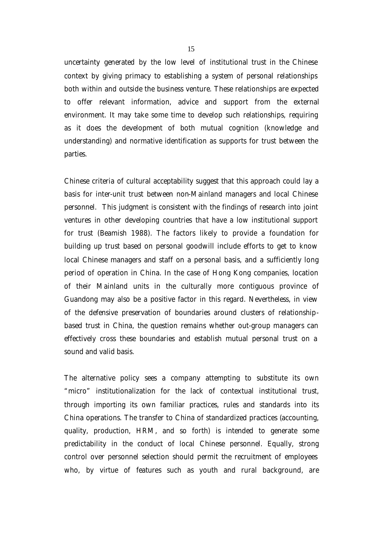uncertainty generated by the low level of institutional trust in the Chinese context by giving primacy to establishing a system of personal relationships both within and outside the business venture. These relationships are expected to offer relevant information, advice and support from the external environment. It may take some time to develop such relationships, requiring as it does the development of both mutual cognition (knowledge and understanding) and normative identification as supports for trust between the parties.

Chinese criteria of cultural acceptability suggest that this approach could lay a basis for inter-unit trust between non-Mainland managers and local Chinese personnel. This judgment is consistent with the findings of research into joint ventures in other developing countries that have a low institutional support for trust (Beamish 1988). The factors likely to provide a foundation for building up trust based on personal goodwill include efforts to get to know local Chinese managers and staff on a personal basis, and a sufficiently long period of operation in China. In the case of Hong Kong companies, location of their Mainland units in the culturally more contiguous province of Guandong may also be a positive factor in this regard. Nevertheless, in view of the defensive preservation of boundaries around clusters of relationshipbased trust in China, the question remains whether out-group managers can effectively cross these boundaries and establish mutual personal trust on a sound and valid basis.

The alternative policy sees a company attempting to substitute its own "micro" institutionalization for the lack of contextual institutional trust, through importing its own familiar practices, rules and standards into its China operations. The transfer to China of standardized practices (accounting, quality, production, HRM, and so forth) is intended to generate some predictability in the conduct of local Chinese personnel. Equally, strong control over personnel selection should permit the recruitment of employees who, by virtue of features such as youth and rural background, are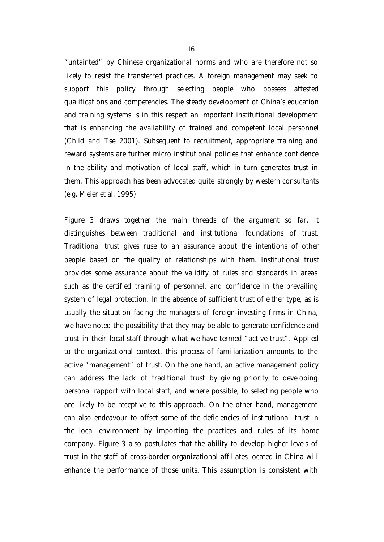"untainted" by Chinese organizational norms and who are therefore not so likely to resist the transferred practices. A foreign management may seek to support this policy through selecting people who possess attested qualifications and competencies. The steady development of China's education and training systems is in this respect an important institutional development that is enhancing the availability of trained and competent local personnel (Child and Tse 2001). Subsequent to recruitment, appropriate training and reward systems are further micro institutional policies that enhance confidence in the ability and motivation of local staff, which in turn generates trust in them. This approach has been advocated quite strongly by western consultants (e.g. Meier *et al.* 1995).

Figure 3 draws together the main threads of the argument so far. It distinguishes between traditional and institutional foundations of trust. Traditional trust gives ruse to an assurance about the intentions of other people based on the quality of relationships with them. Institutional trust provides some assurance about the validity of rules and standards in areas such as the certified training of personnel, and confidence in the prevailing system of legal protection. In the absence of sufficient trust of either type, as is usually the situation facing the managers of foreign-investing firms in China, we have noted the possibility that they may be able to generate confidence and trust in their local staff through what we have termed "active trust". Applied to the organizational context, this process of familiarization amounts to the active "management" of trust. On the one hand, an active management policy can address the lack of traditional trust by giving priority to developing personal rapport with local staff, and where possible, to selecting people who are likely to be receptive to this approach. On the other hand, management can also endeavour to offset some of the deficiencies of institutional trust in the local environment by importing the practices and rules of its home company. Figure 3 also postulates that the ability to develop higher levels of trust in the staff of cross-border organizational affiliates located in China will enhance the performance of those units. This assumption is consistent with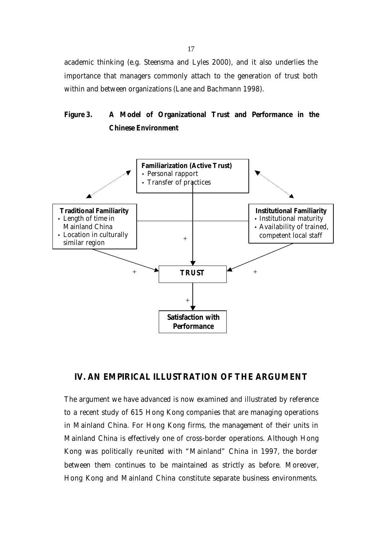academic thinking (e.g. Steensma and Lyles 2000), and it also underlies the importance that managers commonly attach to the generation of trust both within and between organizations (Lane and Bachmann 1998).

### **Figure 3. A Model of Organizational Trust and Performance in the Chinese Environment**



#### **IV. AN EMPIRICAL ILLUSTRATION OF THE ARGUMENT**

The argument we have advanced is now examined and illustrated by reference to a recent study of 615 Hong Kong companies that are managing operations in Mainland China. For Hong Kong firms, the management of their units in Mainland China is effectively one of cross-border operations. Although Hong Kong was politically re-united with "Mainland" China in 1997, the border between them continues to be maintained as strictly as before. Moreover, Hong Kong and Mainland China constitute separate business environments.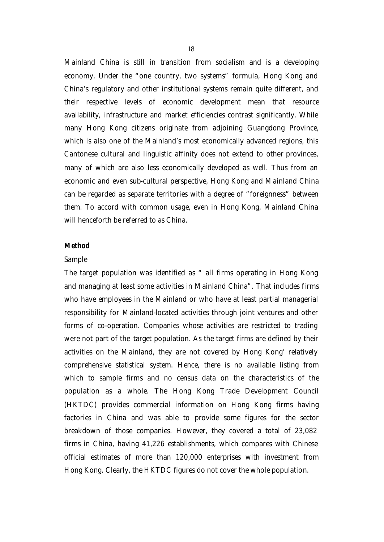Mainland China is still in transition from socialism and is a developing economy. Under the "one country, two systems" formula, Hong Kong and China's regulatory and other institutional systems remain quite different, and their respective levels of economic development mean that resource availability, infrastructure and market efficiencies contrast significantly. While many Hong Kong citizens originate from adjoining Guangdong Province, which is also one of the Mainland's most economically advanced regions, this Cantonese cultural and linguistic affinity does not extend to other provinces, many of which are also less economically developed as well. Thus from an economic and even sub-cultural perspective, Hong Kong and Mainland China can be regarded as separate territories with a degree of "foreignness" between them. To accord with common usage, even in Hong Kong, Mainland China will henceforth be referred to as China.

#### *Method*

#### *Sample*

The target population was identified as " all firms operating in Hong Kong and managing at least some activities in Mainland China". That includes firms who have employees in the Mainland or who have at least partial managerial responsibility for Mainland-located activities through joint ventures and other forms of co-operation. Companies whose activities are restricted to trading were not part of the target population. As the target firms are defined by their activities on the Mainland, they are not covered by Hong Kong' relatively comprehensive statistical system. Hence, there is no available listing from which to sample firms and no census data on the characteristics of the population as a whole. The Hong Kong Trade Development Council (HKTDC) provides commercial information on Hong Kong firms having factories in China and was able to provide some figures for the sector breakdown of those companies. However, they covered a total of 23,082 firms in China, having 41,226 establishments, which compares with Chinese official estimates of more than 120,000 enterprises with investment from Hong Kong. Clearly, the HKTDC figures do not cover the whole population.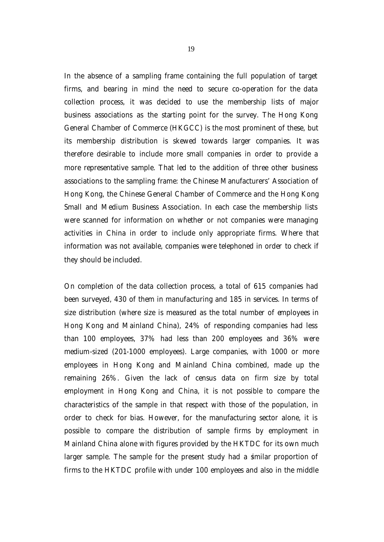In the absence of a sampling frame containing the full population of target firms, and bearing in mind the need to secure co-operation for the data collection process, it was decided to use the membership lists of major business associations as the starting point for the survey. The Hong Kong General Chamber of Commerce (HKGCC) is the most prominent of these, but its membership distribution is skewed towards larger companies. It was therefore desirable to include more small companies in order to provide a more representative sample. That led to the addition of three other business associations to the sampling frame: the Chinese Manufacturers' Association of Hong Kong, the Chinese General Chamber of Commerce and the Hong Kong Small and Medium Business Association. In each case the membership lists were scanned for information on whether or not companies were managing activities in China in order to include only appropriate firms. Where that information was not available, companies were telephoned in order to check if they should be included.

On completion of the data collection process, a total of 615 companies had been surveyed, 430 of them in manufacturing and 185 in services. In terms of size distribution (where size is measured as the total number of employees in Hong Kong and Mainland China), 24% of responding companies had less than 100 employees, 37% had less than 200 employees and 36% were medium-sized (201-1000 employees). Large companies, with 1000 or more employees in Hong Kong and Mainland China combined, made up the remaining 26%. Given the lack of census data on firm size by total employment in Hong Kong and China, it is not possible to compare the characteristics of the sample in that respect with those of the population, in order to check for bias. However, for the manufacturing sector alone, it is possible to compare the distribution of sample firms by employment in Mainland China alone with figures provided by the HKTDC for its own much larger sample. The sample for the present study had a similar proportion of firms to the HKTDC profile with under 100 employees and also in the middle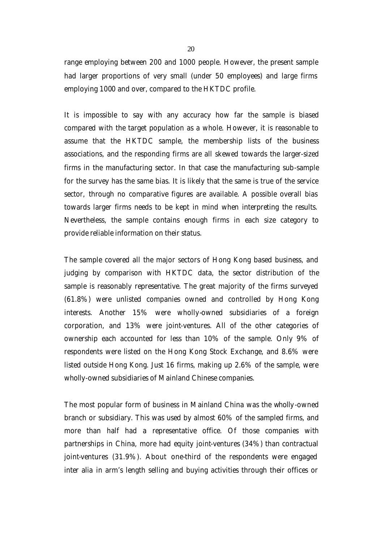range employing between 200 and 1000 people. However, the present sample had larger proportions of very small (under 50 employees) and large firms employing 1000 and over, compared to the HKTDC profile.

It is impossible to say with any accuracy how far the sample is biased compared with the target population as a whole. However, it is reasonable to assume that the HKTDC sample, the membership lists of the business associations, and the responding firms are all skewed towards the larger-sized firms in the manufacturing sector. In that case the manufacturing sub-sample for the survey has the same bias. It is likely that the same is true of the service sector, through no comparative figures are available. A possible overall bias towards larger firms needs to be kept in mind when interpreting the results. Nevertheless, the sample contains enough firms in each size category to provide reliable information on their status.

The sample covered all the major sectors of Hong Kong based business, and judging by comparison with HKTDC data, the sector distribution of the sample is reasonably representative. The great majority of the firms surveyed (61.8%) were unlisted companies owned and controlled by Hong Kong interests. Another 15% were wholly-owned subsidiaries of a foreign corporation, and 13% were joint-ventures. All of the other categories of ownership each accounted for less than 10% of the sample. Only 9% of respondents were listed on the Hong Kong Stock Exchange, and 8.6% were listed outside Hong Kong. Just 16 firms, making up 2.6% of the sample, were wholly-owned subsidiaries of Mainland Chinese companies.

The most popular form of business in Mainland China was the wholly-owned branch or subsidiary. This was used by almost 60% of the sampled firms, and more than half had a representative office. Of those companies with partnerships in China, more had equity joint-ventures (34%) than contractual joint-ventures (31.9%). About one-third of the respondents were engaged *inter alia* in arm's length selling and buying activities through their offices or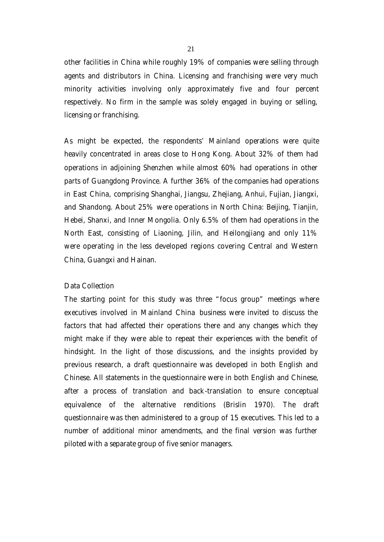other facilities in China while roughly 19% of companies were selling through agents and distributors in China. Licensing and franchising were very much minority activities involving only approximately five and four percent respectively. No firm in the sample was solely engaged in buying or selling, licensing or franchising.

As might be expected, the respondents' Mainland operations were quite heavily concentrated in areas close to Hong Kong. About 32% of them had operations in adjoining Shenzhen while almost 60% had operations in other parts of Guangdong Province. A further 36% of the companies had operations in East China, comprising Shanghai, Jiangsu, Zhejiang, Anhui, Fujian, Jiangxi, and Shandong. About 25% were operations in North China: Beijing, Tianjin, Hebei, Shanxi, and Inner Mongolia. Only 6.5% of them had operations in the North East, consisting of Liaoning, Jilin, and Heilongjiang and only 11% were operating in the less developed regions covering Central and Western China, Guangxi and Hainan.

#### *Data Collection*

The starting point for this study was three "focus group" meetings where executives involved in Mainland China business were invited to discuss the factors that had affected their operations there and any changes which they might make if they were able to repeat their experiences with the benefit of hindsight. In the light of those discussions, and the insights provided by previous research, a draft questionnaire was developed in both English and Chinese. All statements in the questionnaire were in both English and Chinese, after a process of translation and back-translation to ensure conceptual equivalence of the alternative renditions (Brislin 1970). The draft questionnaire was then administered to a group of 15 executives. This led to a number of additional minor amendments, and the final version was further piloted with a separate group of five senior managers.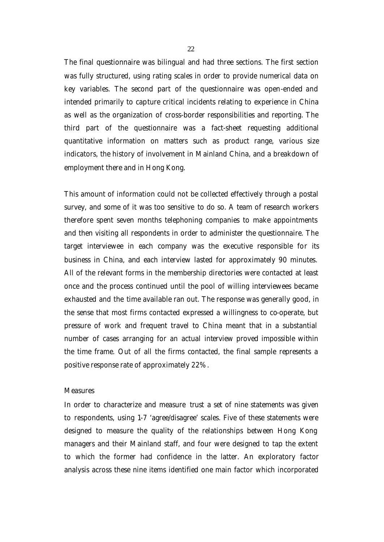The final questionnaire was bilingual and had three sections. The first section was fully structured, using rating scales in order to provide numerical data on key variables. The second part of the questionnaire was open-ended and intended primarily to capture critical incidents relating to experience in China as well as the organization of cross-border responsibilities and reporting. The third part of the questionnaire was a fact-sheet requesting additional quantitative information on matters such as product range, various size indicators, the history of involvement in Mainland China, and a breakdown of employment there and in Hong Kong.

This amount of information could not be collected effectively through a postal survey, and some of it was too sensitive to do so. A team of research workers therefore spent seven months telephoning companies to make appointments and then visiting all respondents in order to administer the questionnaire. The target interviewee in each company was the executive responsible for its business in China, and each interview lasted for approximately 90 minutes. All of the relevant forms in the membership directories were contacted at least once and the process continued until the pool of willing interviewees became exhausted and the time available ran out. The response was generally good, in the sense that most firms contacted expressed a willingness to co-operate, but pressure of work and frequent travel to China meant that in a substantial number of cases arranging for an actual interview proved impossible within the time frame. Out of all the firms contacted, the final sample represents a positive response rate of approximately 22%.

#### *Measures*

In order to characterize and measure *trust* a set of nine statements was given to respondents, using 1-7 'agree/disagree' scales. Five of these statements were designed to measure the quality of the relationships between Hong Kong managers and their Mainland staff, and four were designed to tap the extent to which the former had confidence in the latter. An exploratory factor analysis across these nine items identified one main factor which incorporated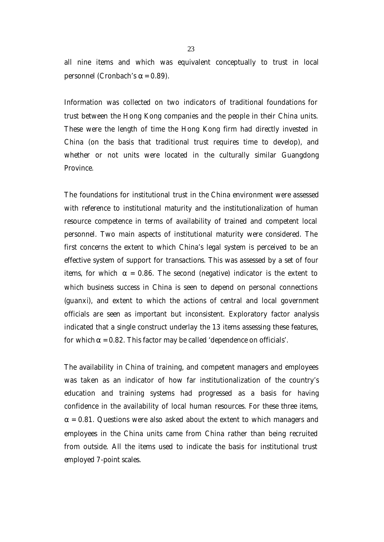all nine items and which was equivalent conceptually to *trust* in local personnel (Cronbach's α = 0.89).

Information was collected on two indicators of *traditional foundations for trust* between the Hong Kong companies and the people in their China units. These were the length of time the Hong Kong firm had directly invested in China (on the basis that traditional trust requires time to develop), and whether or not units were located in the culturally similar Guangdong Province.

The *foundations for institutional trust* in the China environment were assessed with reference to institutional maturity and the institutionalization of human resource competence in terms of availability of trained and competent local personnel. Two main aspects of institutional maturity were considered. The first concerns the extent to which China's legal system is perceived to be an effective system of support for transactions. This was assessed by a set of four items, for which  $\alpha = 0.86$ . The second (negative) indicator is the extent to which business success in China is seen to depend on personal connections (*guanxi*), and extent to which the actions of central and local government officials are seen as important but inconsistent. Exploratory factor analysis indicated that a single construct underlay the 13 items assessing these features, for which  $\alpha$  = 0.82. This factor may be called 'dependence on officials'.

The availability in China of training, and competent managers and employees was taken as an indicator of how far institutionalization of the country's education and training systems had progressed as a basis for having confidence in the availability of local human resources. For these three items,  $\alpha$  = 0.81. Questions were also asked about the extent to which managers and employees in the China units came from China rather than being recruited from outside. All the items used to indicate the basis for institutional trust employed 7-point scales.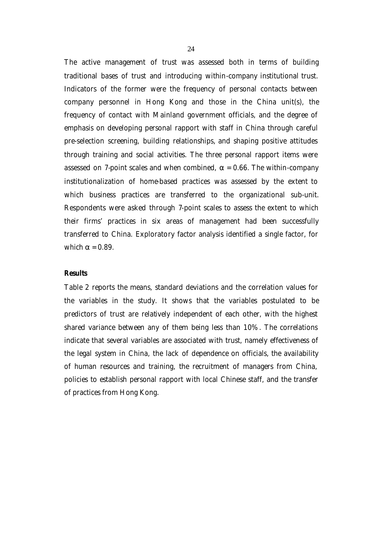The *active management of trust* was assessed both in terms of building traditional bases of trust and introducing within-company institutional trust. Indicators of the former were the frequency of personal contacts between company personnel in Hong Kong and those in the China unit(s), the frequency of contact with Mainland government officials, and the degree of emphasis on developing personal rapport with staff in China through careful pre-selection screening, building relationships, and shaping positive attitudes through training and social activities. The three personal rapport items were assessed on 7-point scales and when combined,  $\alpha$  = 0.66. The within-company institutionalization of home-based practices was assessed by the extent to which business practices are transferred to the organizational sub-unit. Respondents were asked through 7-point scales to assess the extent to which their firms' practices in six areas of management had been successfully transferred to China. Exploratory factor analysis identified a single factor, for which  $\alpha$  = 0.89.

#### *Results*

Table 2 reports the means, standard deviations and the correlation values for the variables in the study. It shows that the variables postulated to be predictors of trust are relatively independent of each other, with the highest shared variance between any of them being less than 10%. The correlations indicate that several variables are associated with trust, namely effectiveness of the legal system in China, the lack of dependence on officials, the availability of human resources and training, the recruitment of managers from China, policies to establish personal rapport with local Chinese staff, and the transfer of practices from Hong Kong.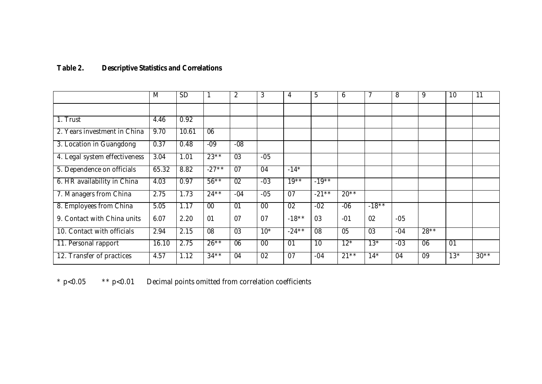## **Table 2. Descriptive Statistics and Correlations**

|                               | M     | <b>SD</b> |                 | 2               | 3               | 4               | 5               | 6               |          | 8               | 9               | 10              | 11     |
|-------------------------------|-------|-----------|-----------------|-----------------|-----------------|-----------------|-----------------|-----------------|----------|-----------------|-----------------|-----------------|--------|
|                               |       |           |                 |                 |                 |                 |                 |                 |          |                 |                 |                 |        |
| 1. Trust                      | 4.46  | 0.92      |                 |                 |                 |                 |                 |                 |          |                 |                 |                 |        |
| 2. Years investment in China  | 9.70  | 10.61     | 06              |                 |                 |                 |                 |                 |          |                 |                 |                 |        |
| 3. Location in Guangdong      | 0.37  | 0.48      | $-09$           | $-08$           |                 |                 |                 |                 |          |                 |                 |                 |        |
| 4. Legal system effectiveness | 3.04  | 1.01      | $23**$          | $\overline{03}$ | $-05$           |                 |                 |                 |          |                 |                 |                 |        |
| 5. Dependence on officials    | 65.32 | 8.82      | $-27**$         | $\overline{07}$ | 04              | $-14*$          |                 |                 |          |                 |                 |                 |        |
| 6. HR availability in China   | 4.03  | 0.97      | $56***$         | $\overline{02}$ | $-03$           | $19***$         | $-19**$         |                 |          |                 |                 |                 |        |
| 7. Managers from China        | 2.75  | 1.73      | $24***$         | $-04$           | $-05$           | $\overline{07}$ | $-21***$        | $20**$          |          |                 |                 |                 |        |
| 8. Employees from China       | 5.05  | 1.17      | $\overline{00}$ | 01              | $00\,$          | $\overline{02}$ | $-02$           | $-06$           | $-18***$ |                 |                 |                 |        |
| 9. Contact with China units   | 6.07  | 2.20      | 01              | 07              | 07              | $-18**$         | 03              | $-01$           | 02       | $-05$           |                 |                 |        |
| 10. Contact with officials    | 2.94  | 2.15      | $\overline{08}$ | $\overline{03}$ | $10*$           | $-24***$        | 08              | $\overline{05}$ | 03       | $-04$           | $28**$          |                 |        |
| 11. Personal rapport          | 16.10 | 2.75      | $26***$         | $\overline{06}$ | $\overline{00}$ | $\overline{01}$ | $\overline{10}$ | $12*$           | $13*$    | $-03$           | $\overline{06}$ | $\overline{01}$ |        |
| 12. Transfer of practices     | 4.57  | 1.12      | $34***$         | 04              | $\overline{02}$ | $\overline{07}$ | $-04$           | $21***$         | $14*$    | $\overline{04}$ | $\overline{09}$ | $13*$           | $30**$ |

\* p<0.05 \*\* p<0.01 Decimal points omitted from correlation coefficients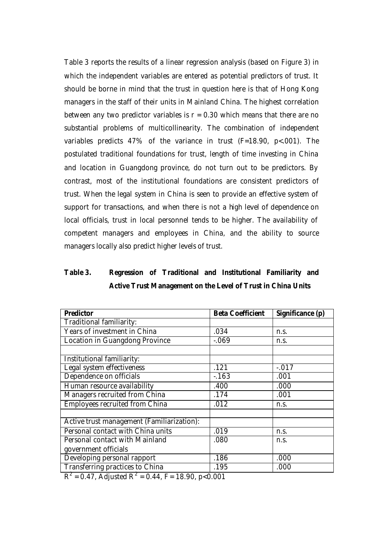Table 3 reports the results of a linear regression analysis (based on Figure 3) in which the independent variables are entered as potential predictors of trust. It should be borne in mind that the trust in question here is that of Hong Kong managers in the staff of their units in Mainland China. The highest correlation between any two predictor variables is  $r = 0.30$  which means that there are no substantial problems of multicollinearity. The combination of independent variables predicts 47% of the variance in trust (F=18.90, p<.001). The postulated traditional foundations for trust, length of time investing in China and location in Guangdong province, do not turn out to be predictors. By contrast, most of the institutional foundations are consistent predictors of trust. When the legal system in China is seen to provide an effective system of support for transactions, and when there is not a high level of dependence on local officials, trust in local personnel tends to be higher. The availability of competent managers and employees in China, and the ability to source managers locally also predict higher levels of trust.

## **Table 3. Regression of Traditional and Institutional Familiarity and Active Trust Management on the Level of Trust in China Units**

| <b>Beta Coefficient</b> | Significance (p)     |  |  |  |
|-------------------------|----------------------|--|--|--|
|                         |                      |  |  |  |
| .034                    | n.s.                 |  |  |  |
| $-069$                  | n.s.                 |  |  |  |
|                         |                      |  |  |  |
|                         |                      |  |  |  |
| .121                    | $-.017$              |  |  |  |
| $-163$                  | .001                 |  |  |  |
| .400                    | .000                 |  |  |  |
| .174                    | .001                 |  |  |  |
| .012                    | n.s.                 |  |  |  |
|                         |                      |  |  |  |
|                         |                      |  |  |  |
| .019                    | n.s.                 |  |  |  |
| .080                    | n.s.                 |  |  |  |
|                         |                      |  |  |  |
| .186                    | .000                 |  |  |  |
| .195                    | .000                 |  |  |  |
|                         | $\sim$ $\sim$ $\sim$ |  |  |  |

 $R^2$  = 0.47, Adjusted R<sup>2</sup> = 0.44, F = 18.90, p<0.001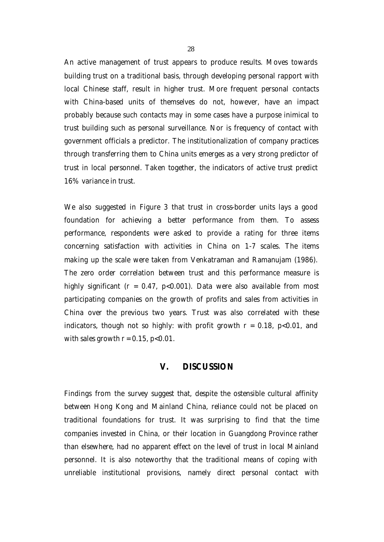An active management of trust appears to produce results. Moves towards building trust on a traditional basis, through developing personal rapport with local Chinese staff, result in higher trust. More frequent personal contacts with China-based units of themselves do not, however, have an impact probably because such contacts may in some cases have a purpose inimical to trust building such as personal surveillance. Nor is frequency of contact with government officials a predictor. The institutionalization of company practices through transferring them to China units emerges as a very strong predictor of trust in local personnel. Taken together, the indicators of active trust predict 16% variance in trust.

We also suggested in Figure 3 that trust in cross-border units lays a good foundation for achieving a better performance from them. To assess performance, respondents were asked to provide a rating for three items concerning satisfaction with activities in China on 1-7 scales. The items making up the scale were taken from Venkatraman and Ramanujam (1986). The zero order correlation between trust and this performance measure is highly significant ( $r = 0.47$ ,  $p < 0.001$ ). Data were also available from most participating companies on the growth of profits and sales from activities in China over the previous two years. Trust was also correlated with these indicators, though not so highly: with profit growth  $r = 0.18$ ,  $p < 0.01$ , and with sales growth  $r = 0.15$ ,  $p < 0.01$ .

#### **V. DISCUSSION**

Findings from the survey suggest that, despite the ostensible cultural affinity between Hong Kong and Mainland China, reliance could not be placed on traditional foundations for trust. It was surprising to find that the time companies invested in China, or their location in Guangdong Province rather than elsewhere, had no apparent effect on the level of trust in local Mainland personnel. It is also noteworthy that the traditional means of coping with unreliable institutional provisions, namely direct personal contact with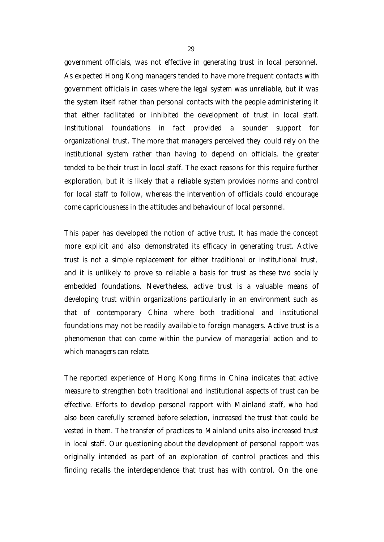government officials, was not effective in generating trust in local personnel. As expected Hong Kong managers tended to have more frequent contacts with government officials in cases where the legal system was unreliable, but it was the system itself rather than personal contacts with the people administering it that either facilitated or inhibited the development of trust in local staff. Institutional foundations in fact provided a sounder support for organizational trust. The more that managers perceived they could rely on the institutional system rather than having to depend on officials, the greater tended to be their trust in local staff. The exact reasons for this require further exploration, but it is likely that a reliable system provides norms and control for local staff to follow, whereas the intervention of officials could encourage come capriciousness in the attitudes and behaviour of local personnel.

This paper has developed the notion of active trust. It has made the concept more explicit and also demonstrated its efficacy in generating trust. Active trust is not a simple replacement for either traditional or institutional trust, and it is unlikely to prove so reliable a basis for trust as these two socially embedded foundations. Nevertheless, active trust is a valuable means of developing trust within organizations particularly in an environment such as that of contemporary China where both traditional and institutional foundations may not be readily available to foreign managers. Active trust is a phenomenon that can come within the purview of managerial action and to which managers can relate.

The reported experience of Hong Kong firms in China indicates that active measure to strengthen both traditional and institutional aspects of trust can be effective. Efforts to develop personal rapport with Mainland staff, who had also been carefully screened before selection, increased the trust that could be vested in them. The transfer of practices to Mainland units also increased trust in local staff. Our questioning about the development of personal rapport was originally intended as part of an exploration of control practices and this finding recalls the interdependence that trust has with control. On the one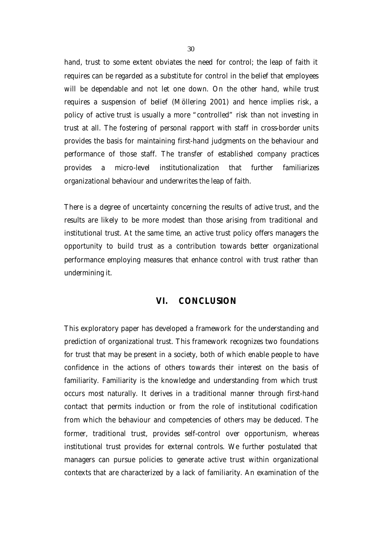hand, trust to some extent obviates the need for control; the leap of faith it requires can be regarded as a substitute for control in the belief that employees will be dependable and not let one down. On the other hand, while trust requires a suspension of belief (Möllering 2001) and hence implies risk, a policy of active trust is usually a more "controlled" risk than not investing in trust at all. The fostering of personal rapport with staff in cross-border units provides the basis for maintaining first-hand judgments on the behaviour and performance of those staff. The transfer of established company practices provides a micro-level institutionalization that further familiarizes organizational behaviour and underwrites the leap of faith.

There is a degree of uncertainty concerning the results of active trust, and the results are likely to be more modest than those arising from traditional and institutional trust. At the same time, an active trust policy offers managers the opportunity to build trust as a contribution towards better organizational performance employing measures that enhance control with trust rather than undermining it.

#### **VI. CONCLUSION**

This exploratory paper has developed a framework for the understanding and prediction of organizational trust. This framework recognizes two foundations for trust that may be present in a society, both of which enable people to have confidence in the actions of others towards their interest on the basis of familiarity. Familiarity is the knowledge and understanding from which trust occurs most naturally. It derives in a traditional manner through first-hand contact that permits induction or from the role of institutional codification from which the behaviour and competencies of others may be deduced. The former, traditional trust, provides self-control over opportunism, whereas institutional trust provides for external controls. We further postulated that managers can pursue policies to generate active trust within organizational contexts that are characterized by a lack of familiarity. An examination of the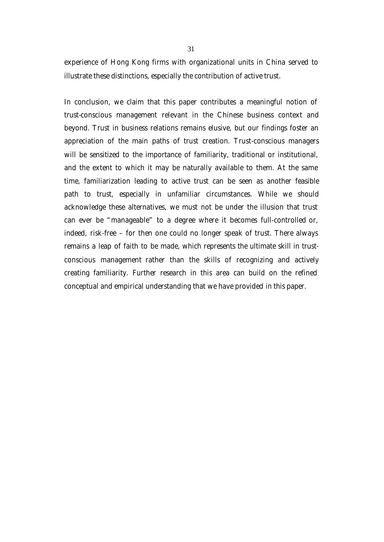experience of Hong Kong firms with organizational units in China served to illustrate these distinctions, especially the contribution of active trust.

In conclusion, we claim that this paper contributes a meaningful notion of *trust-conscious management* relevant in the Chinese business context and beyond. Trust in business relations remains elusive, but our findings foster an appreciation of the main paths of trust creation. *Trust-conscious managers* will be sensitized to the importance of familiarity, traditional or institutional, and the extent to which it may be naturally available to them. At the same time, familiarization leading to active trust can be seen as another feasible path to trust, especially in unfamiliar circumstances. While we should acknowledge these alternatives, we must not be under the illusion that trust can ever be "manageable" to a degree where it becomes full-controlled or, indeed, risk-free – for then one could no longer speak of trust. There always remains a leap of faith to be made, which represents the ultimate skill in *trustconscious management* rather than the skills of recognizing and actively creating familiarity. Further research in this area can build on the refined conceptual and empirical understanding that we have provided in this paper.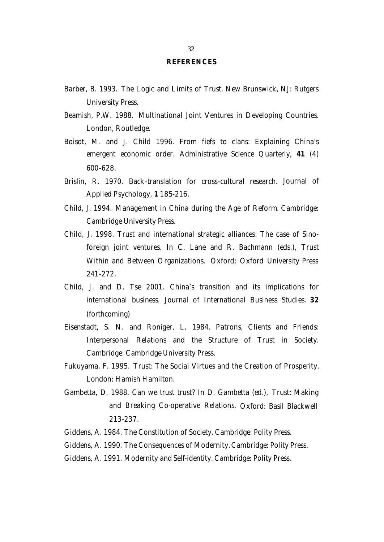#### **REFERENCES**

- Barber, B. 1993. *The Logic and Limits of Trust*. New Brunswick, NJ: Rutgers University Press.
- Beamish, P.W. 1988. *Multinational Joint Ventures in Developing Countries.* London, Routledge.
- Boisot, M. and J. Child 1996. From fiefs to clans: Explaining China's emergent economic order. *Administrative Science Quarterly*, **41** (4) 600-628.
- Brislin, R. 1970. Back-translation for cross-cultural research. *Journal of Applied Psychology,* **1** 185-216.
- Child, J. 1994. *Management in China during the Age of Reform*. Cambridge: Cambridge University Press.
- Child, J. 1998. Trust and international strategic alliances: The case of Sinoforeign joint ventures. In C. Lane and R. Bachmann (eds.), *Trust Within and Between Organizations.* Oxford: Oxford University Press 241-272.
- Child, J. and D. Tse 2001. China's transition and its implications for international business. *Journal of International Business Studies.* **32**  (forthcoming)
- Eisenstadt, S. N. and Roniger, L. 1984. *Patrons, Clients and Friends: Interpersonal Relations and the Structure of Trust in Society*. Cambridge: Cambridge University Press.
- Fukuyama, F. 1995. *Trust: The Social Virtues and the Creation of Prosperity.* London: Hamish Hamilton.
- Gambetta, D. 1988. Can we trust trust? In D. Gambetta (ed.), *Trust: Making and Breaking Co-operative Relations.* Oxford: Basil Blackwell 213-237.
- Giddens, A. 1984. *The Constitution of Society.* Cambridge: Polity Press.
- Giddens, A. 1990. *The Consequences of Modernity.* Cambridge: Polity Press.
- Giddens, A. 1991. *Modernity and Self-identity.* Cambridge: Polity Press.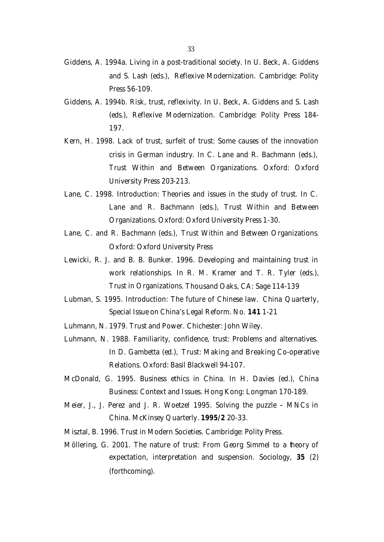Press 56-109.

- Giddens, A. 1994b. Risk, trust, reflexivity. In U. Beck, A. Giddens and S. Lash (eds.), *Reflexive Modernization.* Cambridge: Polity Press 184- 197.
- Kern, H. 1998. Lack of trust, surfeit of trust: Some causes of the innovation crisis in German industry. In C. Lane and R. Bachmann (eds.), *Trust Within and Between Organizations*. Oxford: Oxford University Press 203-213.
- Lane, C. 1998. Introduction: Theories and issues in the study of trust. In C. Lane and R. Bachmann (eds.), *Trust Within and Between Organizations*. Oxford: Oxford University Press 1-30.
- Lane, C. and R. Bachmann (eds.), *Trust Within and Between Organizations*. Oxford: Oxford University Press
- Lewicki, R. J. and B. B. Bunker. 1996. Developing and maintaining trust in work relationships. In R. M. Kramer and T. R. Tyler (eds.), *Trust in Organizations*. Thousand Oaks, CA: Sage 114-139
- Lubman, S. 1995. Introduction: The future of Chinese law. *China Quarterly*, Special Issue on China's Legal Reform. No. **141** 1-21
- Luhmann, N. 1979. *Trust and Power.* Chichester: John Wiley.
- Luhmann, N. 1988. Familiarity, confidence, trust: Problems and alternatives. In D. Gambetta (ed.), *Trust: Making and Breaking Co-operative Relations*. Oxford: Basil Blackwell 94-107.
- McDonald, G. 1995. Business ethics in China. In H. Davies (ed.), *China Business: Context and Issues.* Hong Kong: Longman 170-189.
- Meier, J., J. Perez and J. R. Woetzel 1995. Solving the puzzle MNCs in China. *McKinsey Quarterly*. **1995/2** 20-33.
- Misztal, B. 1996. *Trust in Modern Societies.* Cambridge: Polity Press.
- Möllering, G. 2001. The nature of trust: From Georg Simmel to a theory of expectation, interpretation and suspension. *Sociology,* **35** (2) (forthcoming).